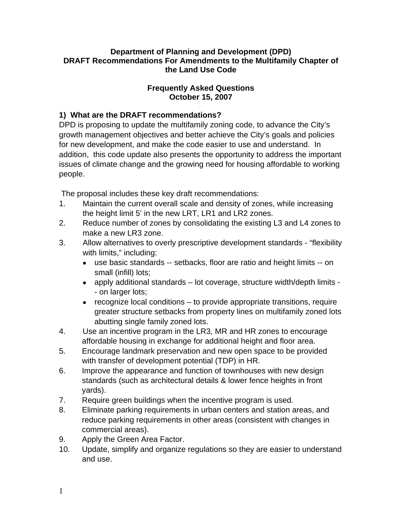#### **Department of Planning and Development (DPD) DRAFT Recommendations For Amendments to the Multifamily Chapter of the Land Use Code**

#### **Frequently Asked Questions October 15, 2007**

### **1) What are the DRAFT recommendations?**

DPD is proposing to update the multifamily zoning code, to advance the City's growth management objectives and better achieve the City's goals and policies for new development, and make the code easier to use and understand. In addition, this code update also presents the opportunity to address the important issues of climate change and the growing need for housing affordable to working people.

The proposal includes these key draft recommendations:

- 1. Maintain the current overall scale and density of zones, while increasing the height limit 5' in the new LRT, LR1 and LR2 zones.
- 2. Reduce number of zones by consolidating the existing L3 and L4 zones to make a new LR3 zone.
- 3. Allow alternatives to overly prescriptive development standards "flexibility with limits," including:
	- use basic standards -- setbacks, floor are ratio and height limits -- on small (infill) lots;
	- apply additional standards lot coverage, structure width/depth limits - on larger lots;
	- recognize local conditions to provide appropriate transitions, require greater structure setbacks from property lines on multifamily zoned lots abutting single family zoned lots.
- 4. Use an incentive program in the LR3, MR and HR zones to encourage affordable housing in exchange for additional height and floor area.
- 5. Encourage landmark preservation and new open space to be provided with transfer of development potential (TDP) in HR.
- 6. Improve the appearance and function of townhouses with new design standards (such as architectural details & lower fence heights in front yards).
- 7. Require green buildings when the incentive program is used.
- 8. Eliminate parking requirements in urban centers and station areas, and reduce parking requirements in other areas (consistent with changes in commercial areas).
- 9. Apply the Green Area Factor.
- 10. Update, simplify and organize regulations so they are easier to understand and use.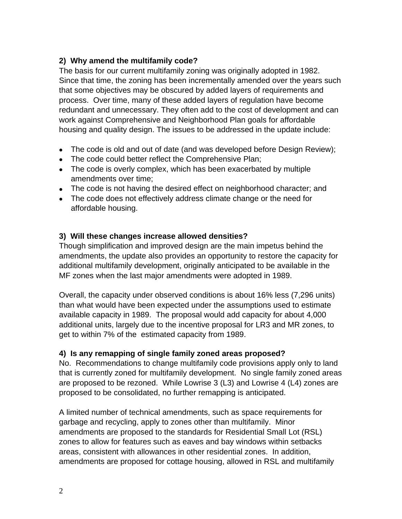### **2) Why amend the multifamily code?**

The basis for our current multifamily zoning was originally adopted in 1982. Since that time, the zoning has been incrementally amended over the years such that some objectives may be obscured by added layers of requirements and process. Over time, many of these added layers of regulation have become redundant and unnecessary. They often add to the cost of development and can work against Comprehensive and Neighborhood Plan goals for affordable housing and quality design. The issues to be addressed in the update include:

- The code is old and out of date (and was developed before Design Review);
- The code could better reflect the Comprehensive Plan;
- The code is overly complex, which has been exacerbated by multiple amendments over time;
- The code is not having the desired effect on neighborhood character; and
- The code does not effectively address climate change or the need for affordable housing.

### **3) Will these changes increase allowed densities?**

Though simplification and improved design are the main impetus behind the amendments, the update also provides an opportunity to restore the capacity for additional multifamily development, originally anticipated to be available in the MF zones when the last major amendments were adopted in 1989.

Overall, the capacity under observed conditions is about 16% less (7,296 units) than what would have been expected under the assumptions used to estimate available capacity in 1989. The proposal would add capacity for about 4,000 additional units, largely due to the incentive proposal for LR3 and MR zones, to get to within 7% of the estimated capacity from 1989.

# **4) Is any remapping of single family zoned areas proposed?**

No. Recommendations to change multifamily code provisions apply only to land that is currently zoned for multifamily development. No single family zoned areas are proposed to be rezoned. While Lowrise 3 (L3) and Lowrise 4 (L4) zones are proposed to be consolidated, no further remapping is anticipated.

A limited number of technical amendments, such as space requirements for garbage and recycling, apply to zones other than multifamily. Minor amendments are proposed to the standards for Residential Small Lot (RSL) zones to allow for features such as eaves and bay windows within setbacks areas, consistent with allowances in other residential zones. In addition, amendments are proposed for cottage housing, allowed in RSL and multifamily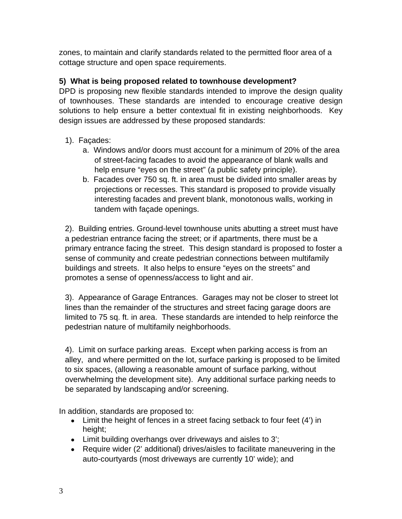zones, to maintain and clarify standards related to the permitted floor area of a cottage structure and open space requirements.

# **5) What is being proposed related to townhouse development?**

DPD is proposing new flexible standards intended to improve the design quality of townhouses. These standards are intended to encourage creative design solutions to help ensure a better contextual fit in existing neighborhoods. Key design issues are addressed by these proposed standards:

# 1). Façades:

- a. Windows and/or doors must account for a minimum of 20% of the area of street-facing facades to avoid the appearance of blank walls and help ensure "eyes on the street" (a public safety principle).
- b. Facades over 750 sq. ft. in area must be divided into smaller areas by projections or recesses. This standard is proposed to provide visually interesting facades and prevent blank, monotonous walls, working in tandem with façade openings.

2). Building entries. Ground-level townhouse units abutting a street must have a pedestrian entrance facing the street; or if apartments, there must be a primary entrance facing the street. This design standard is proposed to foster a sense of community and create pedestrian connections between multifamily buildings and streets. It also helps to ensure "eyes on the streets" and promotes a sense of openness/access to light and air.

3). Appearance of Garage Entrances. Garages may not be closer to street lot lines than the remainder of the structures and street facing garage doors are limited to 75 sq. ft. in area. These standards are intended to help reinforce the pedestrian nature of multifamily neighborhoods.

4). Limit on surface parking areas. Except when parking access is from an alley, and where permitted on the lot, surface parking is proposed to be limited to six spaces, (allowing a reasonable amount of surface parking, without overwhelming the development site). Any additional surface parking needs to be separated by landscaping and/or screening.

In addition, standards are proposed to:

- Limit the height of fences in a street facing setback to four feet (4') in height;
- Limit building overhangs over driveways and aisles to 3';
- Require wider (2' additional) drives/aisles to facilitate maneuvering in the auto-courtyards (most driveways are currently 10' wide); and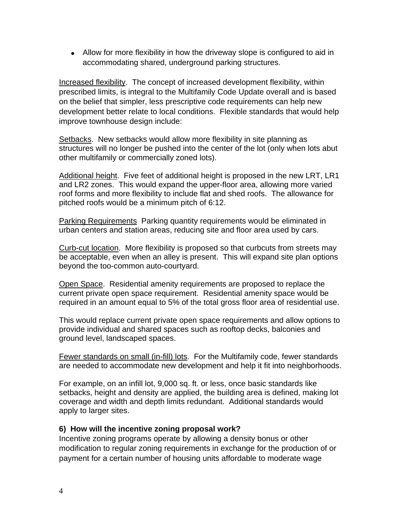• Allow for more flexibility in how the driveway slope is configured to aid in accommodating shared, underground parking structures.

Increased flexibility. The concept of increased development flexibility, within prescribed limits, is integral to the Multifamily Code Update overall and is based on the belief that simpler, less prescriptive code requirements can help new development better relate to local conditions. Flexible standards that would help improve townhouse design include:

Setbacks. New setbacks would allow more flexibility in site planning as structures will no longer be pushed into the center of the lot (only when lots abut other multifamily or commercially zoned lots).

Additional height. Five feet of additional height is proposed in the new LRT, LR1 and LR2 zones. This would expand the upper-floor area, allowing more varied roof forms and more flexibility to include flat and shed roofs. The allowance for pitched roofs would be a minimum pitch of 6:12.

Parking Requirements Parking quantity requirements would be eliminated in urban centers and station areas, reducing site and floor area used by cars.

Curb-cut location. More flexibility is proposed so that curbcuts from streets may be acceptable, even when an alley is present. This will expand site plan options beyond the too-common auto-courtyard.

Open Space. Residential amenity requirements are proposed to replace the current private open space requirement. Residential amenity space would be required in an amount equal to 5% of the total gross floor area of residential use.

This would replace current private open space requirements and allow options to provide individual and shared spaces such as rooftop decks, balconies and ground level, landscaped spaces.

Fewer standards on small (in-fill) lots. For the Multifamily code, fewer standards are needed to accommodate new development and help it fit into neighborhoods.

For example, on an infill lot, 9,000 sq. ft. or less, once basic standards like setbacks, height and density are applied, the building area is defined, making lot coverage and width and depth limits redundant. Additional standards would apply to larger sites.

#### **6) How will the incentive zoning proposal work?**

Incentive zoning programs operate by allowing a density bonus or other modification to regular zoning requirements in exchange for the production of or payment for a certain number of housing units affordable to moderate wage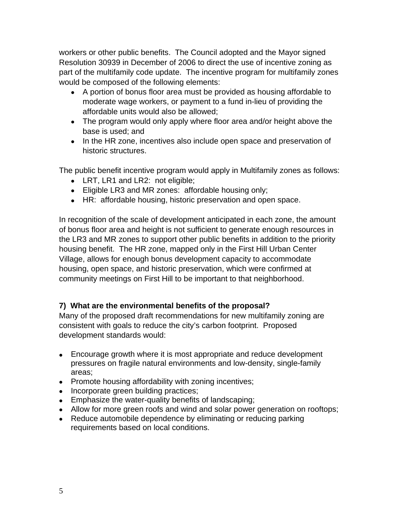workers or other public benefits. The Council adopted and the Mayor signed Resolution 30939 in December of 2006 to direct the use of incentive zoning as part of the multifamily code update. The incentive program for multifamily zones would be composed of the following elements:

- A portion of bonus floor area must be provided as housing affordable to moderate wage workers, or payment to a fund in-lieu of providing the affordable units would also be allowed;
- The program would only apply where floor area and/or height above the base is used; and
- In the HR zone, incentives also include open space and preservation of historic structures.

The public benefit incentive program would apply in Multifamily zones as follows:

- LRT, LR1 and LR2: not eligible;
- Eligible LR3 and MR zones: affordable housing only;
- HR: affordable housing, historic preservation and open space.

In recognition of the scale of development anticipated in each zone, the amount of bonus floor area and height is not sufficient to generate enough resources in the LR3 and MR zones to support other public benefits in addition to the priority housing benefit. The HR zone, mapped only in the First Hill Urban Center Village, allows for enough bonus development capacity to accommodate housing, open space, and historic preservation, which were confirmed at community meetings on First Hill to be important to that neighborhood.

# **7) What are the environmental benefits of the proposal?**

Many of the proposed draft recommendations for new multifamily zoning are consistent with goals to reduce the city's carbon footprint. Proposed development standards would:

- Encourage growth where it is most appropriate and reduce development pressures on fragile natural environments and low-density, single-family areas;
- Promote housing affordability with zoning incentives;
- Incorporate green building practices;
- Emphasize the water-quality benefits of landscaping;
- Allow for more green roofs and wind and solar power generation on rooftops;
- Reduce automobile dependence by eliminating or reducing parking requirements based on local conditions.